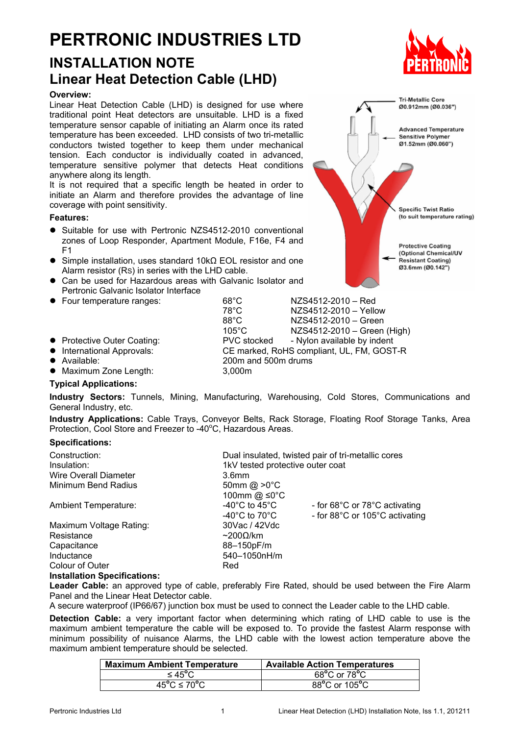# **PERTRONIC INDUSTRIES LTD**

## **INSTALLATION NOTE Linear Heat Detection Cable (LHD)**

#### **Overview:**

Linear Heat Detection Cable (LHD) is designed for use where traditional point Heat detectors are unsuitable. LHD is a fixed temperature sensor capable of initiating an Alarm once its rated temperature has been exceeded. LHD consists of two tri-metallic conductors twisted together to keep them under mechanical tension. Each conductor is individually coated in advanced, temperature sensitive polymer that detects Heat conditions anywhere along its length.

It is not required that a specific length be heated in order to initiate an Alarm and therefore provides the advantage of line coverage with point sensitivity.

#### **Features:**

- Suitable for use with Pertronic NZS4512-2010 conventional zones of Loop Responder, Apartment Module, F16e, F4 and F1
- Simple installation, uses standard 10kΩ EOL resistor and one Alarm resistor (RS) in series with the LHD cable.
- Can be used for Hazardous areas with Galvanic Isolator and Pertronic Galvanic Isolator Interface
- Four temperature ranges: 68°C NZS4512-2010 Red
- 
- International Approvals: CE marked, RoHS compliant, UL, FM, GOST-R
- Available: 200m and 500m drums
- Maximum Zone Length: 3,000m

#### **Typical Applications:**

**Industry Sectors:** Tunnels, Mining, Manufacturing, Warehousing, Cold Stores, Communications and General Industry, etc.

**Industry Applications:** Cable Trays, Conveyor Belts, Rack Storage, Floating Roof Storage Tanks, Area Protection, Cool Store and Freezer to -40°C, Hazardous Areas.

#### **Specifications:**

| Construction:<br>Insulation: | Dual insulated, twisted pair of tri-metallic cores<br>1kV tested protective outer coat |                                                                 |  |
|------------------------------|----------------------------------------------------------------------------------------|-----------------------------------------------------------------|--|
| <b>Wire Overall Diameter</b> | 3.6 <sub>mm</sub>                                                                      |                                                                 |  |
| Minimum Bend Radius          | 50mm @ $>0^{\circ}$ C<br>100mm @ ≤0°C                                                  |                                                                 |  |
| <b>Ambient Temperature:</b>  | -40 $^{\circ}$ C to 45 $^{\circ}$ C<br>-40 $^{\circ}$ C to 70 $^{\circ}$ C             | - for 68°C or 78°C activating<br>- for 88°C or 105°C activating |  |
| Maximum Voltage Rating:      | 30Vac / 42Vdc                                                                          |                                                                 |  |
| Resistance                   | $\sim$ 2000/km                                                                         |                                                                 |  |
| Capacitance                  | 88-150pF/m                                                                             |                                                                 |  |
| Inductance                   | 540-1050nH/m                                                                           |                                                                 |  |
| Colour of Outer              | Red                                                                                    |                                                                 |  |
|                              |                                                                                        |                                                                 |  |

#### **Installation Specifications:**

**Leader Cable:** an approved type of cable, preferably Fire Rated, should be used between the Fire Alarm Panel and the Linear Heat Detector cable.

A secure waterproof (IP66/67) junction box must be used to connect the Leader cable to the LHD cable.

**Detection Cable:** a very important factor when determining which rating of LHD cable to use is the maximum ambient temperature the cable will be exposed to. To provide the fastest Alarm response with minimum possibility of nuisance Alarms, the LHD cable with the lowest action temperature above the maximum ambient temperature should be selected.

| <b>Maximum Ambient Temperature</b> | <b>Available Action Temperatures</b> |
|------------------------------------|--------------------------------------|
| ≤ 45°C                             | 68°C or 78°C                         |
| $45^{\circ}$ C ≤ 70 $^{\circ}$ C   | 88°C or 105°C                        |



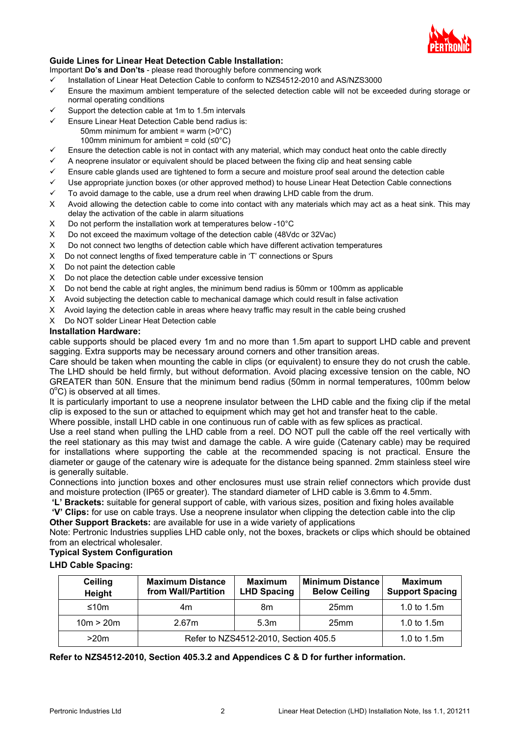

#### **Guide Lines for Linear Heat Detection Cable Installation:**

Important **Do's and Don'ts** - please read thoroughly before commencing work

- $\checkmark$  Installation of Linear Heat Detection Cable to conform to NZS4512-2010 and AS/NZS3000
- $\checkmark$  Ensure the maximum ambient temperature of the selected detection cable will not be exceeded during storage or normal operating conditions
- $\checkmark$  Support the detection cable at 1m to 1.5m intervals
	- Ensure Linear Heat Detection Cable bend radius is:
		- 50mm minimum for ambient = warm (>0°C)
	- 100mm minimum for ambient = cold  $(S0^{\circ}C)$ Ensure the detection cable is not in contact with any material, which may conduct heat onto the cable directly
- $\checkmark$  A neoprene insulator or equivalent should be placed between the fixing clip and heat sensing cable
- $\checkmark$  Ensure cable glands used are tightened to form a secure and moisture proof seal around the detection cable
- Use appropriate junction boxes (or other approved method) to house Linear Heat Detection Cable connections
- $\checkmark$  To avoid damage to the cable, use a drum reel when drawing LHD cable from the drum.
- Χ Avoid allowing the detection cable to come into contact with any materials which may act as a heat sink. This may delay the activation of the cable in alarm situations
- Χ Do not perform the installation work at temperatures below -10°C
- Χ Do not exceed the maximum voltage of the detection cable (48Vdc or 32Vac)
- Χ Do not connect two lengths of detection cable which have different activation temperatures
- Χ Do not connect lengths of fixed temperature cable in 'T' connections or Spurs
- Χ Do not paint the detection cable
- Χ Do not place the detection cable under excessive tension
- X Do not bend the cable at right angles, the minimum bend radius is 50mm or 100mm as applicable
- Χ Avoid subjecting the detection cable to mechanical damage which could result in false activation
- Χ Avoid laying the detection cable in areas where heavy traffic may result in the cable being crushed
- Χ Do NOT solder Linear Heat Detection cable

#### **Installation Hardware:**

cable supports should be placed every 1m and no more than 1.5m apart to support LHD cable and prevent sagging. Extra supports may be necessary around corners and other transition areas.

Care should be taken when mounting the cable in clips (or equivalent) to ensure they do not crush the cable. The LHD should be held firmly, but without deformation. Avoid placing excessive tension on the cable, NO GREATER than 50N. Ensure that the minimum bend radius (50mm in normal temperatures, 100mm below  $0^{\circ}$ C) is observed at all times.

It is particularly important to use a neoprene insulator between the LHD cable and the fixing clip if the metal clip is exposed to the sun or attached to equipment which may get hot and transfer heat to the cable.

Where possible, install LHD cable in one continuous run of cable with as few splices as practical.

Use a reel stand when pulling the LHD cable from a reel. DO NOT pull the cable off the reel vertically with the reel stationary as this may twist and damage the cable. A wire guide (Catenary cable) may be required for installations where supporting the cable at the recommended spacing is not practical. Ensure the diameter or gauge of the catenary wire is adequate for the distance being spanned. 2mm stainless steel wire is generally suitable.

Connections into junction boxes and other enclosures must use strain relief connectors which provide dust and moisture protection (IP65 or greater). The standard diameter of LHD cable is 3.6mm to 4.5mm.

**'L' Brackets:** suitable for general support of cable, with various sizes, position and fixing holes available  **'V' Clips:** for use on cable trays. Use a neoprene insulator when clipping the detection cable into the clip **Other Support Brackets:** are available for use in a wide variety of applications

Note: Pertronic Industries supplies LHD cable only, not the boxes, brackets or clips which should be obtained from an electrical wholesaler.

#### **Typical System Configuration**

**LHD Cable Spacing:**

| <b>Ceiling</b><br>Height | <b>Maximum Distance</b><br>from Wall/Partition | <b>Maximum</b><br><b>LHD Spacing</b> | <b>Minimum Distance</b><br><b>Below Ceiling</b> | <b>Maximum</b><br><b>Support Spacing</b> |
|--------------------------|------------------------------------------------|--------------------------------------|-------------------------------------------------|------------------------------------------|
| ≤10m                     | 4m                                             | 8m                                   | 25 <sub>mm</sub>                                | 1.0 to 1.5m                              |
| 10m > 20m                | 2.67m                                          | 5.3m                                 | 25 <sub>mm</sub>                                | 1.0 to 1.5m                              |
| >20m                     | Refer to NZS4512-2010, Section 405.5           |                                      |                                                 | 1.0 to $1.5m$                            |

**Refer to NZS4512-2010, Section 405.3.2 and Appendices C & D for further information.**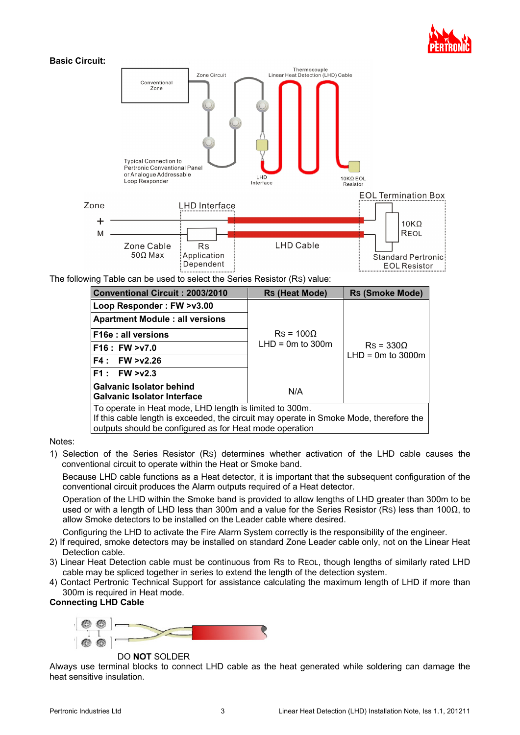



| Conventional Circuit: 2003/2010                                                                                                                                                                              | <b>Rs (Heat Mode)</b> | <b>Rs (Smoke Mode)</b> |  |  |  |
|--------------------------------------------------------------------------------------------------------------------------------------------------------------------------------------------------------------|-----------------------|------------------------|--|--|--|
| Loop Responder: FW >v3.00                                                                                                                                                                                    |                       |                        |  |  |  |
| <b>Apartment Module : all versions</b>                                                                                                                                                                       |                       |                        |  |  |  |
| F16e : all versions                                                                                                                                                                                          | $Rs = 100\Omega$      |                        |  |  |  |
| F16 : FW >v7.0                                                                                                                                                                                               | $LHD = 0m$ to 300m    | $Rs = 330\Omega$       |  |  |  |
| $F4:$ FW $>$ v2.26                                                                                                                                                                                           |                       | $LHD = 0m$ to 3000m    |  |  |  |
| F1:<br>FW > v2.3                                                                                                                                                                                             |                       |                        |  |  |  |
| <b>Galvanic Isolator behind</b><br><b>Galvanic Isolator Interface</b>                                                                                                                                        | N/A                   |                        |  |  |  |
| To operate in Heat mode, LHD length is limited to 300m.<br>If this cable length is exceeded, the circuit may operate in Smoke Mode, therefore the<br>outputs should be configured as for Heat mode operation |                       |                        |  |  |  |

Notes:

1) Selection of the Series Resistor (RS) determines whether activation of the LHD cable causes the conventional circuit to operate within the Heat or Smoke band.

Because LHD cable functions as a Heat detector, it is important that the subsequent configuration of the conventional circuit produces the Alarm outputs required of a Heat detector.

Operation of the LHD within the Smoke band is provided to allow lengths of LHD greater than 300m to be used or with a length of LHD less than 300m and a value for the Series Resistor (Rs) less than 100Ω, to allow Smoke detectors to be installed on the Leader cable where desired.

Configuring the LHD to activate the Fire Alarm System correctly is the responsibility of the engineer.

- 2) If required, smoke detectors may be installed on standard Zone Leader cable only, not on the Linear Heat Detection cable.
- 3) Linear Heat Detection cable must be continuous from RS to REOL, though lengths of similarly rated LHD cable may be spliced together in series to extend the length of the detection system.
- 4) Contact Pertronic Technical Support for assistance calculating the maximum length of LHD if more than 300m is required in Heat mode.

### **Connecting LHD Cable**



DO **NOT** SOLDER

Always use terminal blocks to connect LHD cable as the heat generated while soldering can damage the heat sensitive insulation.